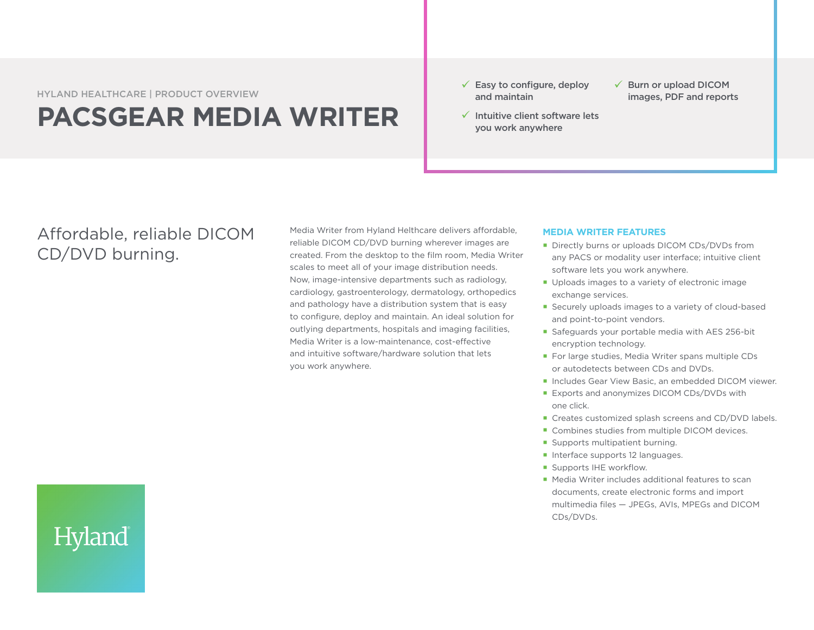HYLAND HEALTHCARE | PRODUCT OVERVIEW

## **PACSGEAR MEDIA WRITER**

- $\checkmark$  Easy to configure, deploy and maintain
- $\checkmark$  Intuitive client software lets you work anywhere
- $\checkmark$  Burn or upload DICOM images, PDF and reports

## Affordable, reliable DICOM CD/DVD burning.

Hyland

Media Writer from Hyland Helthcare delivers affordable, reliable DICOM CD/DVD burning wherever images are created. From the desktop to the film room, Media Writer scales to meet all of your image distribution needs. Now, image-intensive departments such as radiology, cardiology, gastroenterology, dermatology, orthopedics and pathology have a distribution system that is easy to configure, deploy and maintain. An ideal solution for outlying departments, hospitals and imaging facilities, Media Writer is a low-maintenance, cost-effective and intuitive software/hardware solution that lets you work anywhere.

## **MEDIA WRITER FEATURES**

- Directly burns or uploads DICOM CDs/DVDs from any PACS or modality user interface; intuitive client software lets you work anywhere.
- Uploads images to a variety of electronic image exchange services.
- Securely uploads images to a variety of cloud-based and point-to-point vendors.
- Safeguards your portable media with AES 256-bit encryption technology.
- **For large studies, Media Writer spans multiple CDs** or autodetects between CDs and DVDs.
- Includes Gear View Basic, an embedded DICOM viewer.
- **Exports and anonymizes DICOM CDs/DVDs with** one click.
- Creates customized splash screens and CD/DVD labels.
- Combines studies from multiple DICOM devices.
- Supports multipatient burning.
- Interface supports 12 languages.
- **Supports IHE workflow.**
- Media Writer includes additional features to scan documents, create electronic forms and import multimedia files — JPEGs, AVIs, MPEGs and DICOM CDs/DVDs.